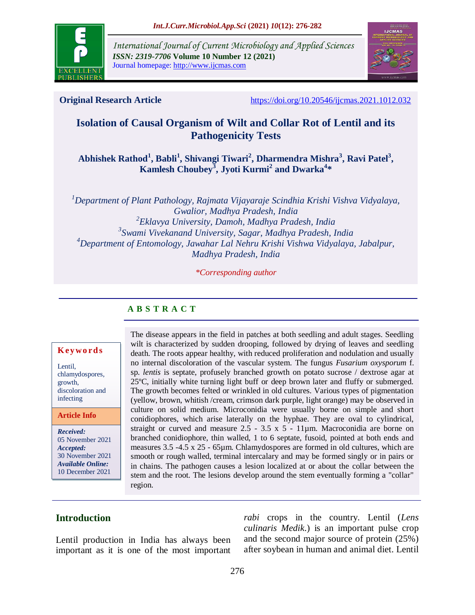

*International Journal of Current Microbiology and Applied Sciences ISSN: 2319-7706* **Volume 10 Number 12 (2021)**  Journal homepage: http://www.ijcmas.com



**Original Research Article** <https://doi.org/10.20546/ijcmas.2021.1012.032>

# **Isolation of Causal Organism of Wilt and Collar Rot of Lentil and its Pathogenicity Tests**

**Abhishek Rathod<sup>1</sup> , Babli<sup>1</sup> , Shivangi Tiwari<sup>2</sup> , Dharmendra Mishra<sup>3</sup> , Ravi Patel<sup>3</sup> , Kamlesh Choubey<sup>3</sup> , Jyoti Kurmi<sup>2</sup> and Dwarka<sup>4</sup> \***

*Department of Plant Pathology, Rajmata Vijayaraje Scindhia Krishi Vishva Vidyalaya, Gwalior, Madhya Pradesh, India Eklavya University, Damoh, Madhya Pradesh, India Swami Vivekanand University, Sagar, Madhya Pradesh, India Department of Entomology, Jawahar Lal Nehru Krishi Vishwa Vidyalaya, Jabalpur, Madhya Pradesh, India*

*\*Corresponding author*

#### **A B S T R A C T**

#### **K ey w o rd s**

Lentil, chlamydospores, growth, discoloration and infecting

#### **Article Info**

*Received:*  05 November 2021 *Accepted:*  30 November 2021 *Available Online:* 10 December 2021

The disease appears in the field in patches at both seedling and adult stages. Seedling wilt is characterized by sudden drooping, followed by drying of leaves and seedling death. The roots appear healthy, with reduced proliferation and nodulation and usually no internal discoloration of the vascular system. The fungus *Fusarium oxysporum* f. sp. *lentis* is septate, profusely branched growth on potato sucrose / dextrose agar at 25ºC, initially white turning light buff or deep brown later and fluffy or submerged. The growth becomes felted or wrinkled in old cultures. Various types of pigmentation (yellow, brown, whitish /cream, crimson dark purple, light orange) may be observed in culture on solid medium. Microconidia were usually borne on simple and short conidiophores, which arise laterally on the hyphae. They are oval to cylindrical, straight or curved and measure  $2.5 - 3.5 \times 5 - 11 \mu m$ . Macroconidia are borne on branched conidiophore, thin walled, 1 to 6 septate, fusoid, pointed at both ends and measures 3.5 -4.5 x 25 - 65µm. Chlamydospores are formed in old cultures, which are smooth or rough walled, terminal intercalary and may be formed singly or in pairs or in chains. The pathogen causes a lesion localized at or about the [collar b](https://en.wiktionary.org/wiki/collet)etween the stem and the root. The lesions develop around the stem eventually forming a "collar" region.

### **Introduction**

Lentil production in India has always been important as it is one of the most important *rabi* crops in the country. Lentil (*Lens culinaris Medik*.) is an important pulse crop and the second major source of protein (25%) after soybean in human and animal diet. Lentil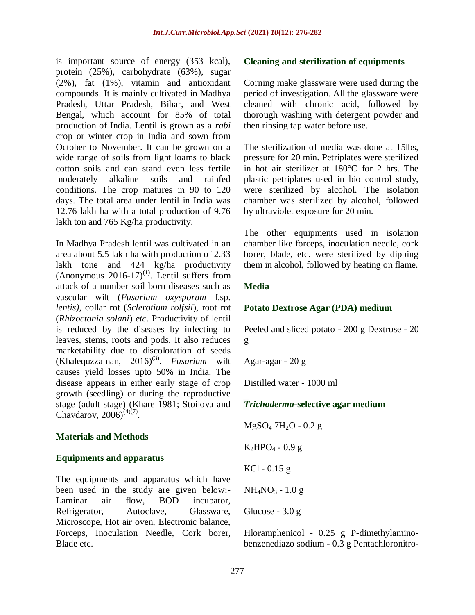is important source of energy (353 kcal), protein (25%), carbohydrate (63%), sugar (2%), fat (1%), vitamin and antioxidant compounds. It is mainly cultivated in Madhya Pradesh, Uttar Pradesh, Bihar, and West Bengal, which account for 85% of total production of India. Lentil is grown as a *rabi* crop or winter crop in India and sown from October to November. It can be grown on a wide range of soils from light loams to black cotton soils and can stand even less fertile moderately alkaline soils and rainfed conditions. The crop matures in 90 to 120 days. The total area under lentil in India was 12.76 lakh ha with a total production of 9.76 lakh ton and 765 Kg/ha productivity.

In Madhya Pradesh lentil was cultivated in an area about 5.5 lakh ha with production of 2.33 lakh tone and 424 kg/ha productivity (Anonymous  $2016-17$ <sup>(1)</sup>. Lentil suffers from attack of a number soil born diseases such as vascular wilt (*Fusarium oxysporum* f.sp. *lentis)*, collar rot (*Sclerotium rolfsii*), root rot (*Rhizoctonia solani*) *etc*. Productivity of lentil is reduced by the diseases by infecting to leaves, stems, roots and pods. It also reduces marketability due to discoloration of seeds  $(Khalequzzaman, 2016)^{(3)}$ . *Fusarium* wilt causes yield losses upto 50% in India. The disease appears in either early stage of crop growth (seedling) or during the reproductive stage (adult stage) (Khare 1981; Stoilova and Chavdarov,  $2006(4)(7)$ .

#### **Materials and Methods**

#### **Equipments and apparatus**

The equipments and apparatus which have been used in the study are given below:- Laminar air flow, BOD incubator, Refrigerator, Autoclave, Glassware, Microscope, Hot air oven, Electronic balance, Forceps, Inoculation Needle, Cork borer, Blade etc.

#### **Cleaning and sterilization of equipments**

Corning make glassware were used during the period of investigation. All the glassware were cleaned with chronic acid, followed by thorough washing with detergent powder and then rinsing tap water before use.

The sterilization of media was done at 15lbs, pressure for 20 min. Petriplates were sterilized in hot air sterilizer at 180°C for 2 hrs. The plastic petriplates used in bio control study, were sterilized by alcohol. The isolation chamber was sterilized by alcohol, followed by ultraviolet exposure for 20 min.

The other equipments used in isolation chamber like forceps, inoculation needle, cork borer, blade, etc. were sterilized by dipping them in alcohol, followed by heating on flame.

### **Media**

#### **Potato Dextrose Agar (PDA) medium**

Peeled and sliced potato - 200 g Dextrose - 20 g

Agar-agar - 20 g

Distilled water - 1000 ml

### *Trichoderma***-selective agar medium**

 $MgSO_4$  7H<sub>2</sub>O - 0.2 g

 $K_2HPO_4 - 0.9 g$ 

 $KCl - 0.15 g$ 

 $NH_4NO_3 - 1.0 g$ 

Glucose - 3.0 g

Hloramphenicol - 0.25 g P-dimethylaminobenzenediazo sodium - 0.3 g Pentachloronitro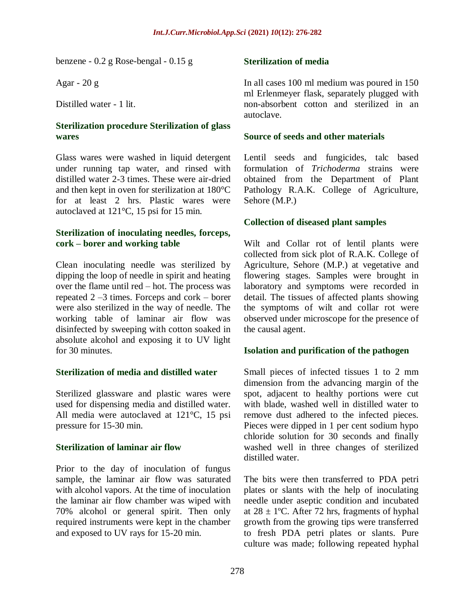benzene - 0.2 g Rose-bengal - 0.15 g

Agar - 20 g

Distilled water - 1 lit.

### **Sterilization procedure Sterilization of glass wares**

Glass wares were washed in liquid detergent under running tap water, and rinsed with distilled water 2-3 times. These were air-dried and then kept in oven for sterilization at 180°C for at least 2 hrs. Plastic wares were autoclaved at 121°C, 15 psi for 15 min.

#### **Sterilization of inoculating needles, forceps, cork – borer and working table**

Clean inoculating needle was sterilized by dipping the loop of needle in spirit and heating over the flame until red – hot. The process was repeated 2 –3 times. Forceps and cork – borer were also sterilized in the way of needle. The working table of laminar air flow was disinfected by sweeping with cotton soaked in absolute alcohol and exposing it to UV light for 30 minutes.

### **Sterilization of media and distilled water**

Sterilized glassware and plastic wares were used for dispensing media and distilled water. All media were autoclaved at 121°C, 15 psi pressure for 15-30 min.

### **Sterilization of laminar air flow**

Prior to the day of inoculation of fungus sample, the laminar air flow was saturated with alcohol vapors. At the time of inoculation the laminar air flow chamber was wiped with 70% alcohol or general spirit. Then only required instruments were kept in the chamber and exposed to UV rays for 15-20 min.

### **Sterilization of media**

In all cases 100 ml medium was poured in 150 ml Erlenmeyer flask, separately plugged with non-absorbent cotton and sterilized in an autoclave.

#### **Source of seeds and other materials**

Lentil seeds and fungicides, talc based formulation of *Trichoderma* strains were obtained from the Department of Plant Pathology R.A.K. College of Agriculture, Sehore (M.P.)

### **Collection of diseased plant samples**

Wilt and Collar rot of lentil plants were collected from sick plot of R.A.K. College of Agriculture, Sehore (M.P.) at vegetative and flowering stages. Samples were brought in laboratory and symptoms were recorded in detail. The tissues of affected plants showing the symptoms of wilt and collar rot were observed under microscope for the presence of the causal agent.

### **Isolation and purification of the pathogen**

Small pieces of infected tissues 1 to 2 mm dimension from the advancing margin of the spot, adjacent to healthy portions were cut with blade, washed well in distilled water to remove dust adhered to the infected pieces. Pieces were dipped in 1 per cent sodium hypo chloride solution for 30 seconds and finally washed well in three changes of sterilized distilled water.

The bits were then transferred to PDA petri plates or slants with the help of inoculating needle under aseptic condition and incubated at  $28 \pm 1$ °C. After 72 hrs, fragments of hyphal growth from the growing tips were transferred to fresh PDA petri plates or slants. Pure culture was made; following repeated hyphal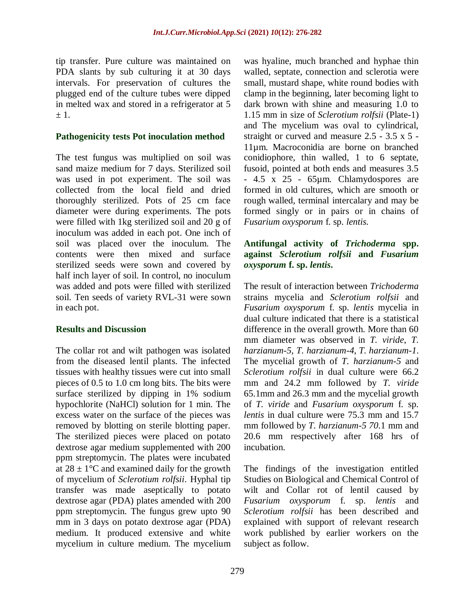tip transfer. Pure culture was maintained on PDA slants by sub culturing it at 30 days intervals. For preservation of cultures the plugged end of the culture tubes were dipped in melted wax and stored in a refrigerator at 5  $+1$ .

#### **Pathogenicity tests Pot inoculation method**

The test fungus was multiplied on soil was sand maize medium for 7 days. Sterilized soil was used in pot experiment. The soil was collected from the local field and dried thoroughly sterilized. Pots of 25 cm face diameter were during experiments. The pots were filled with 1kg sterilized soil and 20 g of inoculum was added in each pot. One inch of soil was placed over the inoculum. The contents were then mixed and surface sterilized seeds were sown and covered by half inch layer of soil. In control, no inoculum was added and pots were filled with sterilized soil. Ten seeds of variety RVL-31 were sown in each pot.

#### **Results and Discussion**

The collar rot and wilt pathogen was isolated from the diseased lentil plants. The infected tissues with healthy tissues were cut into small pieces of 0.5 to 1.0 cm long bits. The bits were surface sterilized by dipping in 1% sodium hypochlorite (NaHCl) solution for 1 min. The excess water on the surface of the pieces was removed by blotting on sterile blotting paper. The sterilized pieces were placed on potato dextrose agar medium supplemented with 200 ppm streptomycin. The plates were incubated at  $28 \pm 1$ °C and examined daily for the growth of mycelium of *Sclerotium rolfsii*. Hyphal tip transfer was made aseptically to potato dextrose agar (PDA) plates amended with 200 ppm streptomycin. The fungus grew upto 90 mm in 3 days on potato dextrose agar (PDA) medium. It produced extensive and white mycelium in culture medium. The mycelium was hyaline, much branched and hyphae thin walled, septate, connection and sclerotia were small, mustard shape, white round bodies with clamp in the beginning, later becoming light to dark brown with shine and measuring 1.0 to 1.15 mm in size of *Sclerotium rolfsii* (Plate-1) and The mycelium was oval to cylindrical, straight or curved and measure 2.5 - 3.5 x 5 - 11µm. Macroconidia are borne on branched conidiophore, thin walled, 1 to 6 septate, fusoid, pointed at both ends and measures 3.5 - 4.5 x 25 - 65µm. Chlamydospores are formed in old cultures, which are smooth or rough walled, terminal intercalary and may be formed singly or in pairs or in chains of *Fusarium oxysporum* f. sp. *lentis.* 

#### **Antifungal activity of** *Trichoderma* **spp. against** *Sclerotium rolfsii* **and** *Fusarium oxysporum* **f. sp.** *lentis***.**

The result of interaction between *Trichoderma*  strains mycelia and *Sclerotium rolfsii* and *Fusarium oxysporum* f. sp. *lentis* mycelia in dual culture indicated that there is a statistical difference in the overall growth. More than 60 mm diameter was observed in *T. viride*, *T. harzianum-5, T. harzianum-4*, *T. harzianum-1*. The mycelial growth of *T. harzianum-5* and *Sclerotium rolfsii* in dual culture were 66.2 mm and 24.2 mm followed by *T. viride*  65.1mm and 26.3 mm and the mycelial growth of *T. viride* and *Fusarium oxysporum* f. sp. *lentis* in dual culture were 75.3 mm and 15.7 mm followed by *T. harzianum-5 70*.1 mm and 20.6 mm respectively after 168 hrs of incubation.

The findings of the investigation entitled Studies on Biological and Chemical Control of wilt and Collar rot of lentil caused by *Fusarium oxysporum* f. sp. *lentis* and *Sclerotium rolfsii* has been described and explained with support of relevant research work published by earlier workers on the subject as follow.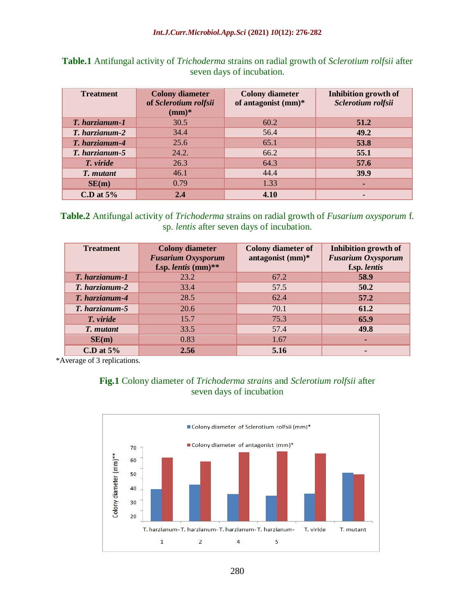| <b>Treatment</b> | <b>Colony diameter</b><br>of Sclerotium rolfsii<br>$(mm)*$ | <b>Colony diameter</b><br>of antagonist $(mm)^*$ | Inhibition growth of<br>Sclerotium rolfsii |
|------------------|------------------------------------------------------------|--------------------------------------------------|--------------------------------------------|
| T. harzianum-1   | 30.5                                                       | 60.2                                             | 51.2                                       |
| T. harzianum-2   | 34.4                                                       | 56.4                                             | 49.2                                       |
| T. harzianum-4   | 25.6                                                       | 65.1                                             | 53.8                                       |
| T. harzianum-5   | 24.2.                                                      | 66.2                                             | 55.1                                       |
| T. viride        | 26.3                                                       | 64.3                                             | 57.6                                       |
| T. mutant        | 46.1                                                       | 44.4                                             | 39.9                                       |
| SE(m)            | 0.79                                                       | 1.33                                             | ۰                                          |
| C.D at $5\%$     | 2.4                                                        | 4.10                                             |                                            |

**Table.1** Antifungal activity of *Trichoderma* strains on radial growth of *Sclerotium rolfsii* after seven days of incubation.

### **Table.2** Antifungal activity of *Trichoderma* strains on radial growth of *Fusarium oxysporum* f. sp. *lentis* after seven days of incubation.

| <b>Treatment</b> | <b>Colony diameter</b><br><b>Fusarium Oxysporum</b><br>f.sp. lentis $(mm)$ ** | <b>Colony diameter of</b><br>antagonist (mm)* | Inhibition growth of<br><b>Fusarium Oxysporum</b><br>f.sp. lentis |
|------------------|-------------------------------------------------------------------------------|-----------------------------------------------|-------------------------------------------------------------------|
| T. harzianum-1   | 23.2                                                                          | 67.2                                          | 58.9                                                              |
| T. harzianum-2   | 33.4                                                                          | 57.5                                          | 50.2                                                              |
| T. harzianum-4   | 28.5                                                                          | 62.4                                          | 57.2                                                              |
| T. harzianum-5   | 20.6                                                                          | 70.1                                          | 61.2                                                              |
| T. viride        | 15.7                                                                          | 75.3                                          | 65.9                                                              |
| T. mutant        | 33.5                                                                          | 57.4                                          | 49.8                                                              |
| SE(m)            | 0.83                                                                          | 1.67                                          |                                                                   |
| C.D at $5\%$     | 2.56                                                                          | 5.16                                          |                                                                   |

\*Average of 3 replications.

## **Fig.1** Colony diameter of *Trichoderma strains* and *Sclerotium rolfsii* after seven days of incubation

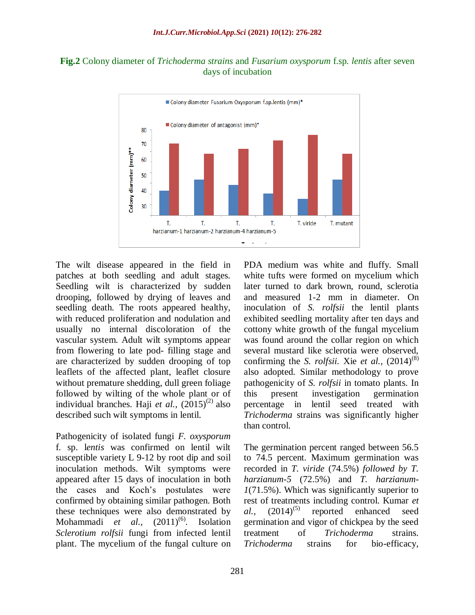



The wilt disease appeared in the field in patches at both seedling and adult stages. Seedling wilt is characterized by sudden drooping, followed by drying of leaves and seedling death. The roots appeared healthy, with reduced proliferation and nodulation and usually no internal discoloration of the vascular system. Adult wilt symptoms appear from flowering to late pod- filling stage and are characterized by sudden drooping of top leaflets of the affected plant, leaflet closure without premature shedding, dull green foliage followed by wilting of the whole plant or of individual branches. Haji *et al.*,  $(2015)^{(2)}$  also described such wilt symptoms in lentil.

Pathogenicity of isolated fungi *F. oxysporum*  f. sp. l*entis* was confirmed on lentil wilt susceptible variety L 9-12 by root dip and soil inoculation methods. Wilt symptoms were appeared after 15 days of inoculation in both the cases and Koch's postulates were confirmed by obtaining similar pathogen. Both these techniques were also demonstrated by Mohammadi *et al.*,  $(2011)^{(6)}$ . Isolation *Sclerotium rolfsii* fungi from infected lentil plant. The mycelium of the fungal culture on PDA medium was white and fluffy. Small white tufts were formed on mycelium which later turned to dark brown, round, sclerotia and measured 1-2 mm in diameter*.* On inoculation of *S. rolfsii* the lentil plants exhibited seedling mortality after ten days and cottony white growth of the fungal mycelium was found around the collar region on which several mustard like sclerotia were observed, confirming the *S. rolfsii.* Xie *et al.*,  $(2014)^{(8)}$ also adopted. Similar methodology to prove pathogenicity of *S. rolfsii* in tomato plants. In this present investigation germination percentage in lentil seed treated with *Trichoderma* strains was significantly higher than control.

The germination percent ranged between 56.5 to 74.5 percent. Maximum germination was recorded in *T. viride* (74.5%) *followed by T. harzianum-5* (72.5%) and *T. harzianum-1*(71.5%). Which was significantly superior to rest of treatments including control. Kumar *et*   $al.,$   $(2014)^{(5)}$ reported enhanced seed germination and vigor of chickpea by the seed treatment of *Trichoderma* strains. *Trichoderma* strains for bio-efficacy,